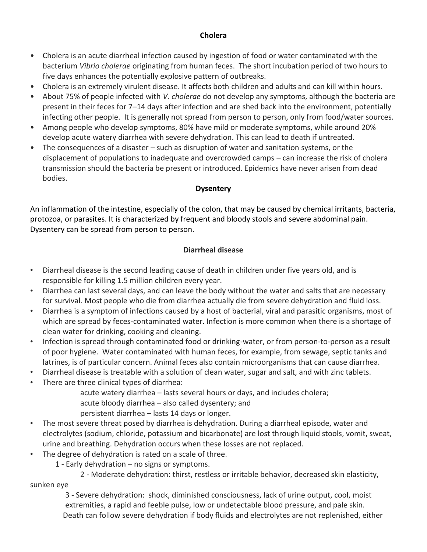## **Cholera**

- Cholera is an acute diarrheal infection caused by ingestion of food or water contaminated with the bacterium *Vibrio cholerae* originating from human feces. The short incubation period of two hours to five days enhances the potentially explosive pattern of outbreaks.
- Cholera is an extremely virulent disease. It affects both children and adults and can kill within hours.
- About 75% of people infected with *V. cholerae* do not develop any symptoms, although the bacteria are present in their feces for 7–14 days after infection and are shed back into the environment, potentially infecting other people. It is generally not spread from person to person, only from food/water sources.
- Among people who develop symptoms, 80% have mild or moderate symptoms, while around 20% develop acute watery diarrhea with severe dehydration. This can lead to death if untreated.
- The consequences of a disaster such as disruption of water and sanitation systems, or the displacement of populations to inadequate and overcrowded camps – can increase the risk of cholera transmission should the bacteria be present or introduced. Epidemics have never arisen from dead bodies.

## **Dysentery**

An inflammation of the intestine, especially of the colon, that may be caused by chemical irritants, bacteria, protozoa, or parasites. It is characterized by frequent and bloody stools and severe abdominal pain. Dysentery can be spread from person to person.

## **Diarrheal disease**

- Diarrheal disease is the second leading cause of death in children under five years old, and is responsible for killing 1.5 million children every year.
- Diarrhea can last several days, and can leave the body without the water and salts that are necessary for survival. Most people who die from diarrhea actually die from severe dehydration and fluid loss.
- Diarrhea is a symptom of infections caused by a host of bacterial, viral and parasitic organisms, most of which are spread by feces-contaminated water. Infection is more common when there is a shortage of clean water for drinking, cooking and cleaning.
- Infection is spread through contaminated food or drinking-water, or from person-to-person as a result of poor hygiene. Water contaminated with human feces, for example, from sewage, septic tanks and latrines, is of particular concern. Animal feces also contain microorganisms that can cause diarrhea.
- Diarrheal disease is treatable with a solution of clean water, sugar and salt, and with zinc tablets.
- There are three clinical types of diarrhea:
	- acute watery diarrhea lasts several hours or days, and includes cholera;
	- acute bloody diarrhea also called dysentery; and
	- persistent diarrhea lasts 14 days or longer.
- The most severe threat posed by diarrhea is dehydration. During a diarrheal episode, water and electrolytes (sodium, chloride, potassium and bicarbonate) are lost through liquid stools, vomit, sweat, urine and breathing. Dehydration occurs when these losses are not replaced.
- The degree of dehydration is rated on a scale of three.
	- 1 Early dehydration no signs or symptoms.

2 - Moderate dehydration: thirst, restless or irritable behavior, decreased skin elasticity,

sunken eye

3 - Severe dehydration: shock, diminished consciousness, lack of urine output, cool, moist extremities, a rapid and feeble pulse, low or undetectable blood pressure, and pale skin. Death can follow severe dehydration if body fluids and electrolytes are not replenished, either